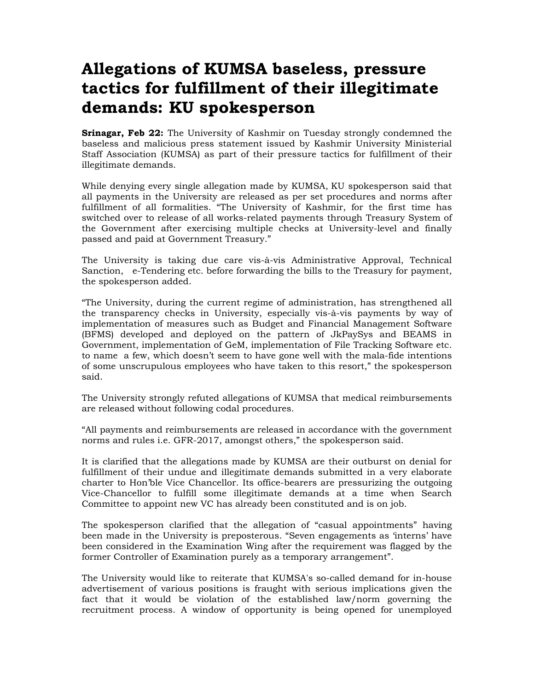## **Allegations of KUMSA baseless, pressure tactics for fulfillment of their illegitimate demands: KU spokesperson**

**Srinagar, Feb 22:** The University of Kashmir on Tuesday strongly condemned the baseless and malicious press statement issued by Kashmir University Ministerial Staff Association (KUMSA) as part of their pressure tactics for fulfillment of their illegitimate demands.

While denying every single allegation made by KUMSA, KU spokesperson said that all payments in the University are released as per set procedures and norms after fulfillment of all formalities. "The University of Kashmir, for the first time has switched over to release of all works-related payments through Treasury System of the Government after exercising multiple checks at University-level and finally passed and paid at Government Treasury."

The University is taking due care vis-à-vis Administrative Approval, Technical Sanction, e-Tendering etc. before forwarding the bills to the Treasury for payment, the spokesperson added.

"The University, during the current regime of administration, has strengthened all the transparency checks in University, especially vis-à-vis payments by way of implementation of measures such as Budget and Financial Management Software (BFMS) developed and deployed on the pattern of JkPaySys and BEAMS in Government, implementation of GeM, implementation of File Tracking Software etc. to name a few, which doesn't seem to have gone well with the mala-fide intentions of some unscrupulous employees who have taken to this resort," the spokesperson said.

The University strongly refuted allegations of KUMSA that medical reimbursements are released without following codal procedures.

"All payments and reimbursements are released in accordance with the government norms and rules i.e. GFR-2017, amongst others," the spokesperson said.

It is clarified that the allegations made by KUMSA are their outburst on denial for fulfillment of their undue and illegitimate demands submitted in a very elaborate charter to Hon'ble Vice Chancellor. Its office-bearers are pressurizing the outgoing Vice-Chancellor to fulfill some illegitimate demands at a time when Search Committee to appoint new VC has already been constituted and is on job.

The spokesperson clarified that the allegation of "casual appointments" having been made in the University is preposterous. "Seven engagements as 'interns' have been considered in the Examination Wing after the requirement was flagged by the former Controller of Examination purely as a temporary arrangement".

The University would like to reiterate that KUMSA's so-called demand for in-house advertisement of various positions is fraught with serious implications given the fact that it would be violation of the established law/norm governing the recruitment process. A window of opportunity is being opened for unemployed